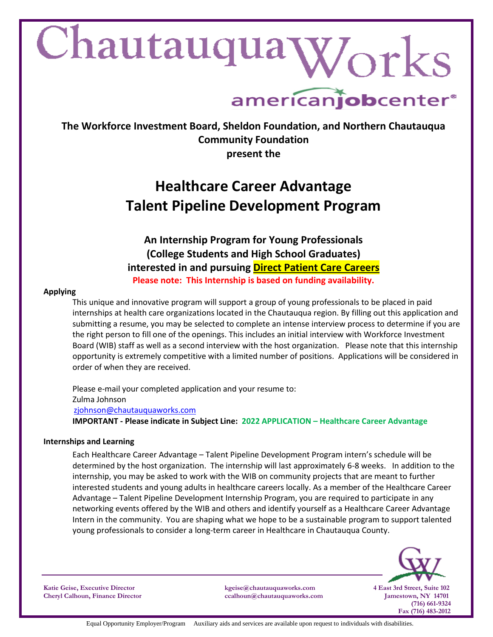# Chautauqua Works

## americanjobcenter<sup>®</sup>

**The Workforce Investment Board, Sheldon Foundation, and Northern Chautauqua Community Foundation present the**

### **Healthcare Career Advantage Talent Pipeline Development Program**

**An Internship Program for Young Professionals (College Students and High School Graduates) interested in and pursuing Direct Patient Care Careers Please note: This Internship is based on funding availability.**

#### **Applying**

This unique and innovative program will support a group of young professionals to be placed in paid internships at health care organizations located in the Chautauqua region. By filling out this application and submitting a resume, you may be selected to complete an intense interview process to determine if you are the right person to fill one of the openings. This includes an initial interview with Workforce Investment Board (WIB) staff as well as a second interview with the host organization. Please note that this internship opportunity is extremely competitive with a limited number of positions. Applications will be considered in order of when they are received.

Please e-mail your completed application and your resume to: Zulma Johnson [zjohnson@chautauquaworks.com](mailto:zjohnson@chautauquaworks.com) **IMPORTANT - Please indicate in Subject Line: 2022 APPLICATION – Healthcare Career Advantage** 

#### **Internships and Learning**

Each Healthcare Career Advantage – Talent Pipeline Development Program intern's schedule will be determined by the host organization. The internship will last approximately 6-8 weeks. In addition to the internship, you may be asked to work with the WIB on community projects that are meant to further interested students and young adults in healthcare careers locally. As a member of the Healthcare Career Advantage – Talent Pipeline Development Internship Program, you are required to participate in any networking events offered by the WIB and others and identify yourself as a Healthcare Career Advantage Intern in the community. You are shaping what we hope to be a sustainable program to support talented young professionals to consider a long-term career in Healthcare in Chautauqua County.



**Katie Geise, Executive Director kgeise@chautauquaworks.com 4 East 3rd Street, Suite 102**

**Cheryl Calhoun, Finance Director ccalhoun@chautauquaworks.com Jamestown, NY 14701**

 **(716) 661-9324 Fax (716) 483-2012**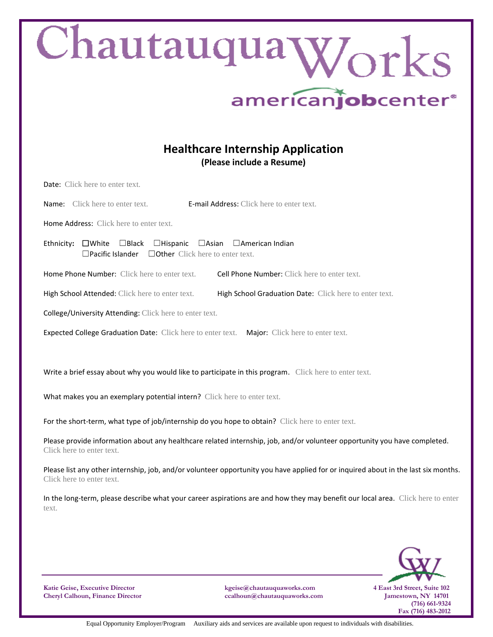| Chautauqua Works<br>americanjobcenter <sup>®</sup>                                                                                                              |
|-----------------------------------------------------------------------------------------------------------------------------------------------------------------|
| <b>Healthcare Internship Application</b><br>(Please include a Resume)                                                                                           |
| Date: Click here to enter text.                                                                                                                                 |
| <b>E-mail Address:</b> Click here to enter text.<br><b>Name:</b> Click here to enter text.                                                                      |
| Home Address: Click here to enter text.                                                                                                                         |
| $\Box$ Black $\Box$ Hispanic<br>□Asian □American Indian<br>Ethnicity: $\square$ White<br>$\Box$ Pacific Islander<br>$\Box$ Other Click here to enter text.      |
| Home Phone Number: Click here to enter text.<br>Cell Phone Number: Click here to enter text.                                                                    |
| High School Attended: Click here to enter text.<br>High School Graduation Date: Click here to enter text.                                                       |
| College/University Attending: Click here to enter text.                                                                                                         |
| Expected College Graduation Date: Click here to enter text. Major: Click here to enter text.                                                                    |
| Write a brief essay about why you would like to participate in this program. Click here to enter text.                                                          |
| What makes you an exemplary potential intern? Click here to enter text.                                                                                         |
| For the short-term, what type of job/internship do you hope to obtain? Click here to enter text.                                                                |
| Please provide information about any healthcare related internship, job, and/or volunteer opportunity you have completed.<br>Click here to enter text.          |
| Please list any other internship, job, and/or volunteer opportunity you have applied for or inquired about in the last six months.<br>Click here to enter text. |
| In the long-term, please describe what your career aspirations are and how they may benefit our local area. Click here to enter<br>text.                        |
|                                                                                                                                                                 |

**Katie Geise, Executive Director kgeise@chautauquaworks.com 4 East 3rd Street, Suite 102 Cheryl Calhoun, Finance Director ccalhoun@chautauquaworks.com Jamestown, NY 14701**